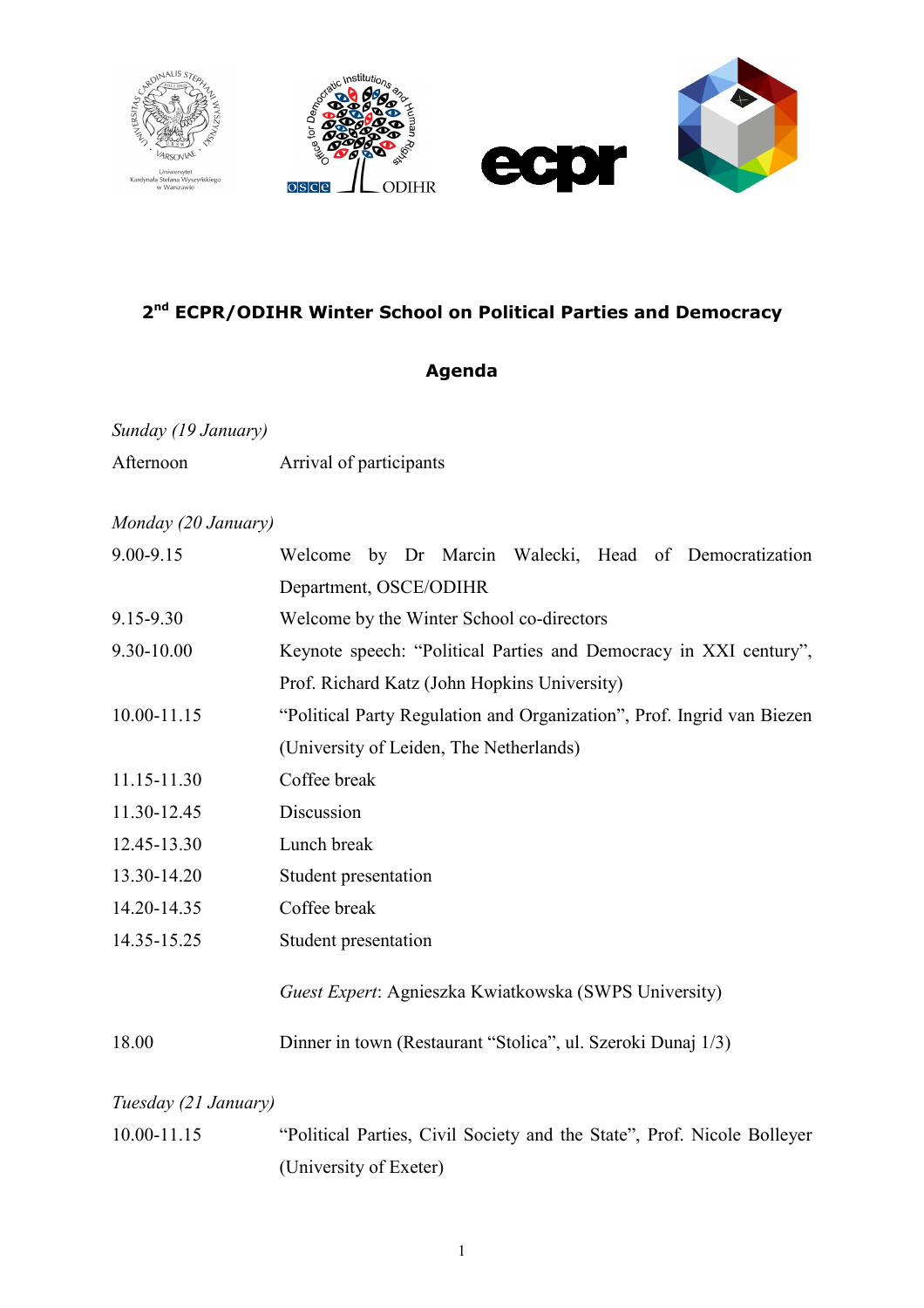

# **2nd ECPR/ODIHR Winter School on Political Parties and Democracy**

# **Agenda**

### *Sunday (19 January)*

Afternoon Arrival of participants

#### *Monday (20 January)*

| 9.00-9.15            | Welcome by Dr Marcin Walecki, Head of Democratization                   |
|----------------------|-------------------------------------------------------------------------|
|                      | Department, OSCE/ODIHR                                                  |
| 9.15-9.30            | Welcome by the Winter School co-directors                               |
| 9.30-10.00           | Keynote speech: "Political Parties and Democracy in XXI century",       |
|                      | Prof. Richard Katz (John Hopkins University)                            |
| 10.00-11.15          | "Political Party Regulation and Organization", Prof. Ingrid van Biezen  |
|                      | (University of Leiden, The Netherlands)                                 |
| 11.15-11.30          | Coffee break                                                            |
| 11.30-12.45          | Discussion                                                              |
| 12.45-13.30          | Lunch break                                                             |
| 13.30-14.20          | Student presentation                                                    |
| 14.20-14.35          | Coffee break                                                            |
| 14.35-15.25          | Student presentation                                                    |
|                      | Guest Expert: Agnieszka Kwiatkowska (SWPS University)                   |
| 18.00                | Dinner in town (Restaurant "Stolica", ul. Szeroki Dunaj 1/3)            |
| Tuesday (21 January) |                                                                         |
| 10.00-11.15          | "Political Parties, Civil Society and the State", Prof. Nicole Bolleyer |

(University of Exeter)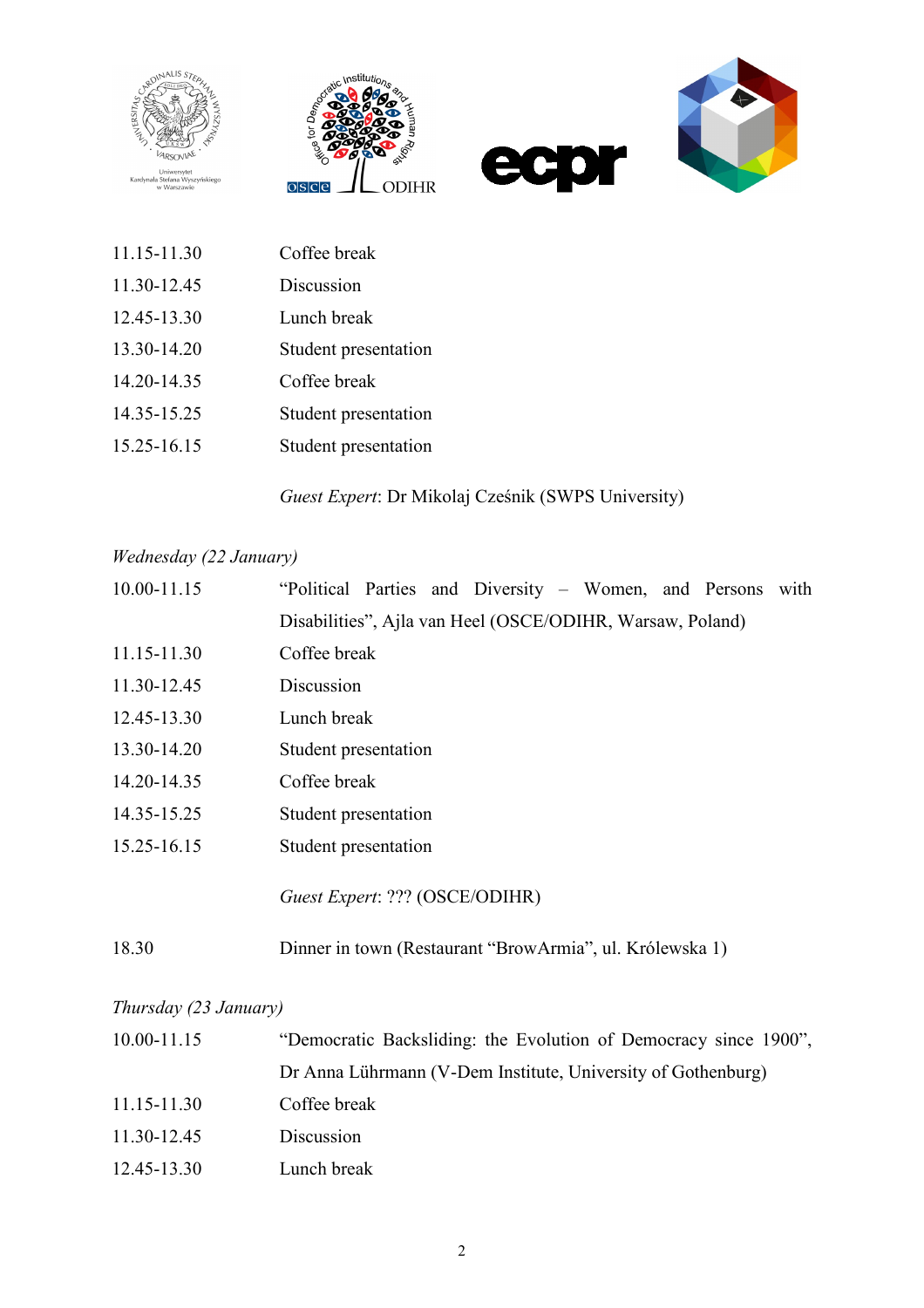







| 11.15-11.30 | Coffee break         |
|-------------|----------------------|
| 11.30-12.45 | Discussion           |
| 12.45-13.30 | Lunch break          |
| 13.30-14.20 | Student presentation |
| 14.20-14.35 | Coffee break         |
| 14.35-15.25 | Student presentation |
| 15.25-16.15 | Student presentation |

*Guest Expert*: Dr Mikolaj Cześnik (SWPS University)

# *Wednesday (22 January)*

| 10.00-11.15 | "Political Parties and Diversity – Women, and Persons with |
|-------------|------------------------------------------------------------|
|             | Disabilities", Ajla van Heel (OSCE/ODIHR, Warsaw, Poland)  |
| 11.15-11.30 | Coffee break                                               |
| 11.30-12.45 | Discussion                                                 |
| 12.45-13.30 | Lunch break                                                |
| 13.30-14.20 | Student presentation                                       |
| 14.20-14.35 | Coffee break                                               |
| 14.35-15.25 | Student presentation                                       |
| 15.25-16.15 | Student presentation                                       |
|             | Guest Expert: ??? (OSCE/ODIHR)                             |
| 18.30       | Dinner in town (Restaurant "BrowArmia", ul. Królewska 1)   |

#### *Thursday (23 January)*

| 10.00-11.15 | "Democratic Backsliding: the Evolution of Democracy since 1900", |
|-------------|------------------------------------------------------------------|
|             | Dr Anna Lührmann (V-Dem Institute, University of Gothenburg)     |
| 11.15-11.30 | Coffee break                                                     |
| 11.30-12.45 | Discussion                                                       |
| 12.45-13.30 | Lunch break                                                      |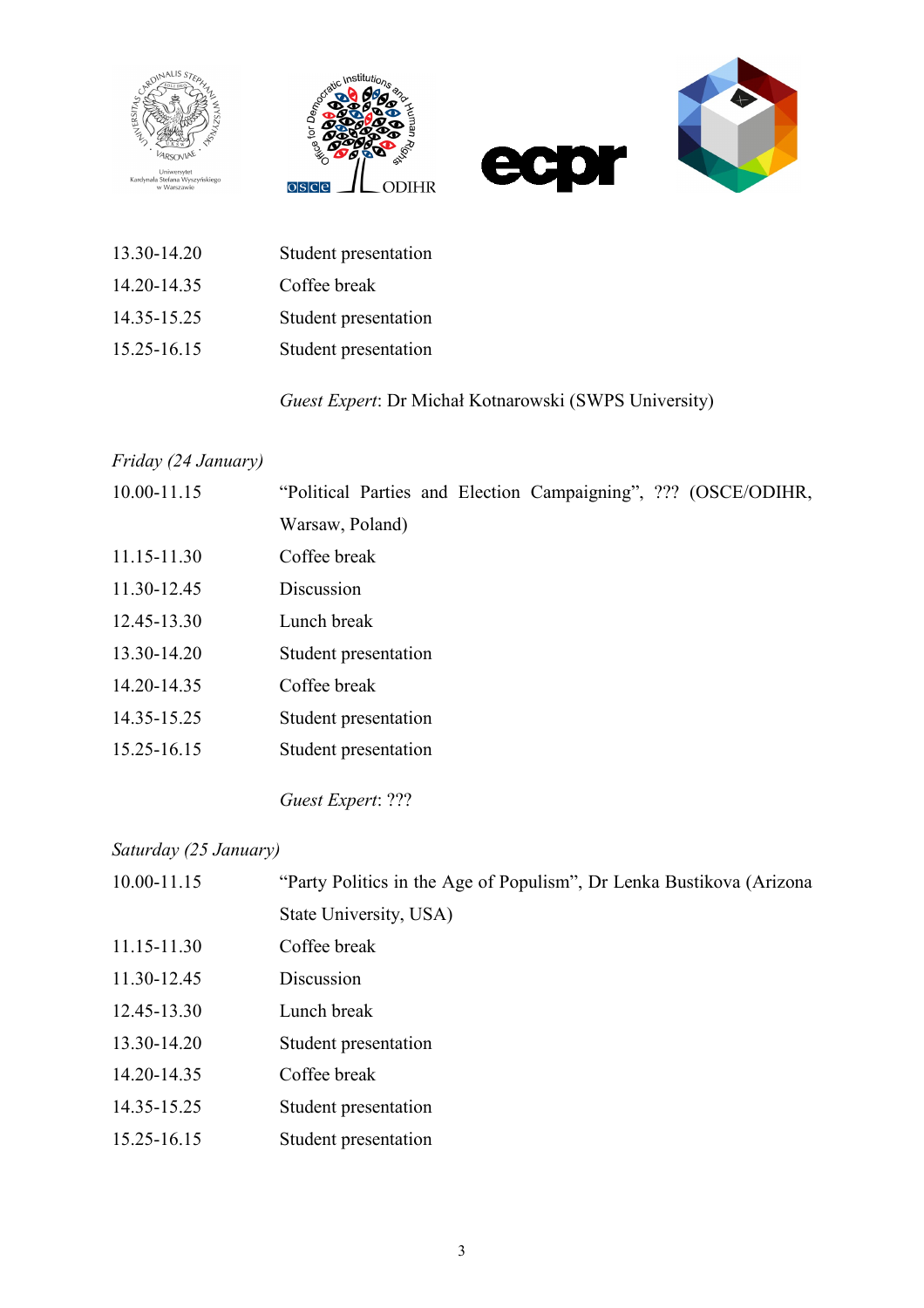







13.30-14.20 Student presentation 14.20-14.35 Coffee break 14.35-15.25 Student presentation 15.25-16.15 Student presentation

### *Guest Expert*: Dr Michał Kotnarowski (SWPS University)

#### *Friday (24 January)*

| 10.00-11.15 | "Political Parties and Election Campaigning", ??? (OSCE/ODIHR, |
|-------------|----------------------------------------------------------------|
|             | Warsaw, Poland)                                                |
| 11.15-11.30 | Coffee break                                                   |
| 11.30-12.45 | Discussion                                                     |
| 12.45-13.30 | Lunch break                                                    |
| 13.30-14.20 | Student presentation                                           |
| 14.20-14.35 | Coffee break                                                   |
| 14.35-15.25 | Student presentation                                           |
| 15.25-16.15 | Student presentation                                           |
|             |                                                                |

*Guest Expert*: ???

#### *Saturday (25 January)*

| 10.00-11.15 | "Party Politics in the Age of Populism", Dr Lenka Bustikova (Arizona) |
|-------------|-----------------------------------------------------------------------|
|             | State University, USA)                                                |
| 11.15-11.30 | Coffee break                                                          |
| 11.30-12.45 | Discussion                                                            |
| 12.45-13.30 | Lunch break                                                           |
| 13.30-14.20 | Student presentation                                                  |
| 14.20-14.35 | Coffee break                                                          |
| 14.35-15.25 | Student presentation                                                  |
| 15.25-16.15 | Student presentation                                                  |
|             |                                                                       |